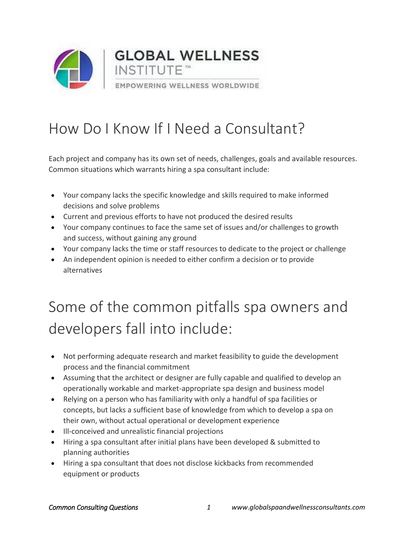

### How Do I Know If I Need a Consultant?

Each project and company has its own set of needs, challenges, goals and available resources. Common situations which warrants hiring a spa consultant include:

- Your company lacks the specific knowledge and skills required to make informed decisions and solve problems
- Current and previous efforts to have not produced the desired results
- Your company continues to face the same set of issues and/or challenges to growth and success, without gaining any ground
- Your company lacks the time or staff resources to dedicate to the project or challenge
- An independent opinion is needed to either confirm a decision or to provide alternatives

## Some of the common pitfalls spa owners and developers fall into include:

- Not performing adequate research and market feasibility to guide the development process and the financial commitment
- Assuming that the architect or designer are fully capable and qualified to develop an operationally workable and market-appropriate spa design and business model
- Relying on a person who has familiarity with only a handful of spa facilities or concepts, but lacks a sufficient base of knowledge from which to develop a spa on their own, without actual operational or development experience
- Ill-conceived and unrealistic financial projections
- Hiring a spa consultant after initial plans have been developed & submitted to planning authorities
- Hiring a spa consultant that does not disclose kickbacks from recommended equipment or products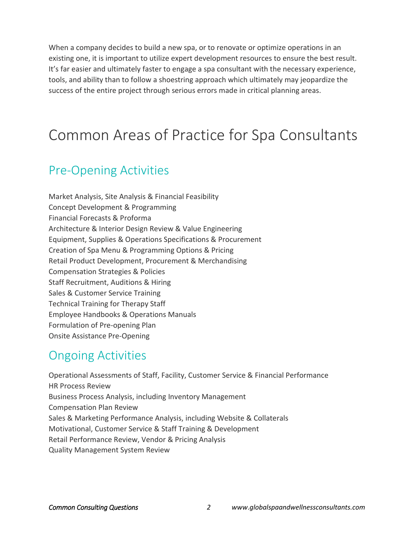When a company decides to build a new spa, or to renovate or optimize operations in an existing one, it is important to utilize expert development resources to ensure the best result. It's far easier and ultimately faster to engage a spa consultant with the necessary experience, tools, and ability than to follow a shoestring approach which ultimately may jeopardize the success of the entire project through serious errors made in critical planning areas.

### Common Areas of Practice for Spa Consultants

#### Pre-Opening Activities

Market Analysis, Site Analysis & Financial Feasibility Concept Development & Programming Financial Forecasts & Proforma Architecture & Interior Design Review & Value Engineering Equipment, Supplies & Operations Specifications & Procurement Creation of Spa Menu & Programming Options & Pricing Retail Product Development, Procurement & Merchandising Compensation Strategies & Policies Staff Recruitment, Auditions & Hiring Sales & Customer Service Training Technical Training for Therapy Staff Employee Handbooks & Operations Manuals Formulation of Pre-opening Plan Onsite Assistance Pre-Opening

#### Ongoing Activities

Operational Assessments of Staff, Facility, Customer Service & Financial Performance HR Process Review Business Process Analysis, including Inventory Management Compensation Plan Review Sales & Marketing Performance Analysis, including Website & Collaterals Motivational, Customer Service & Staff Training & Development Retail Performance Review, Vendor & Pricing Analysis Quality Management System Review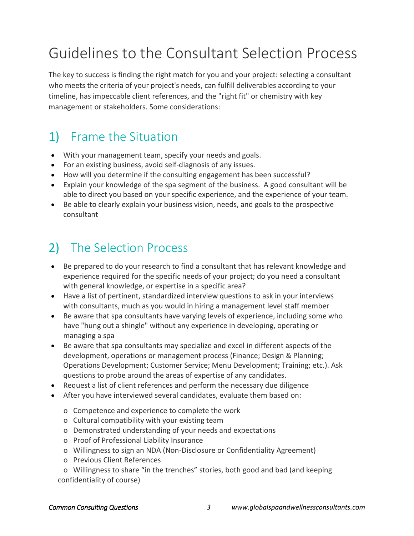## Guidelines to the Consultant Selection Process

The key to success is finding the right match for you and your project: selecting a consultant who meets the criteria of your project's needs, can fulfill deliverables according to your timeline, has impeccable client references, and the "right fit" or chemistry with key management or stakeholders. Some considerations:

#### 1) Frame the Situation

- With your management team, specify your needs and goals.
- For an existing business, avoid self-diagnosis of any issues.
- How will you determine if the consulting engagement has been successful?
- Explain your knowledge of the spa segment of the business. A good consultant will be able to direct you based on your specific experience, and the experience of your team.
- Be able to clearly explain your business vision, needs, and goals to the prospective consultant

### 2) The Selection Process

- Be prepared to do your research to find a consultant that has relevant knowledge and experience required for the specific needs of your project; do you need a consultant with general knowledge, or expertise in a specific area?
- Have a list of pertinent, standardized interview questions to ask in your interviews with consultants, much as you would in hiring a management level staff member
- Be aware that spa consultants have varying levels of experience, including some who have "hung out a shingle" without any experience in developing, operating or managing a spa
- Be aware that spa consultants may specialize and excel in different aspects of the development, operations or management process (Finance; Design & Planning; Operations Development; Customer Service; Menu Development; Training; etc.). Ask questions to probe around the areas of expertise of any candidates.
- Request a list of client references and perform the necessary due diligence
- After you have interviewed several candidates, evaluate them based on:
	- o Competence and experience to complete the work
	- o Cultural compatibility with your existing team
	- o Demonstrated understanding of your needs and expectations
	- o Proof of Professional Liability Insurance
	- o Willingness to sign an NDA (Non-Disclosure or Confidentiality Agreement)
	- o Previous Client References

 o Willingness to share "in the trenches" stories, both good and bad (and keeping confidentiality of course)